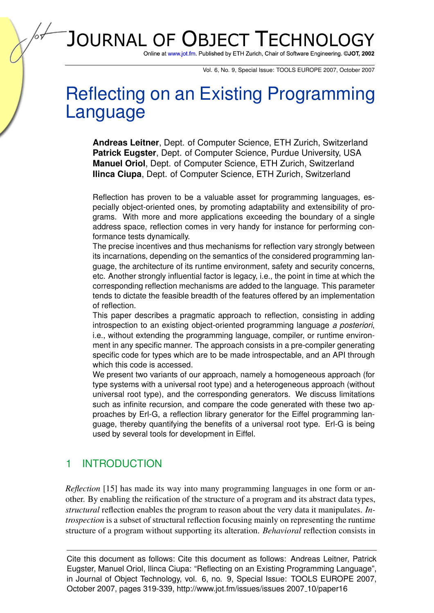# JOURNAL OF OBJECT TECHNOLG

Online at www.jot.fm. Published by ETH Zurich, Chair of Software Engineering. @JOT, 2002

Vol. 6, No. 9, Special Issue: TOOLS EUROPE 2007, October 2007

# Reflecting on an Existing Programming Language

**Andreas Leitner**, Dept. of Computer Science, ETH Zurich, Switzerland **Patrick Eugster**, Dept. of Computer Science, Purdue University, USA **Manuel Oriol**, Dept. of Computer Science, ETH Zurich, Switzerland **Ilinca Ciupa**, Dept. of Computer Science, ETH Zurich, Switzerland

Reflection has proven to be a valuable asset for programming languages, especially object-oriented ones, by promoting adaptability and extensibility of programs. With more and more applications exceeding the boundary of a single address space, reflection comes in very handy for instance for performing conformance tests dynamically.

The precise incentives and thus mechanisms for reflection vary strongly between its incarnations, depending on the semantics of the considered programming language, the architecture of its runtime environment, safety and security concerns, etc. Another strongly influential factor is legacy, i.e., the point in time at which the corresponding reflection mechanisms are added to the language. This parameter tends to dictate the feasible breadth of the features offered by an implementation of reflection.

This paper describes a pragmatic approach to reflection, consisting in adding introspection to an existing object-oriented programming language *a posteriori*, i.e., without extending the programming language, compiler, or runtime environment in any specific manner. The approach consists in a pre-compiler generating specific code for types which are to be made introspectable, and an API through which this code is accessed.

We present two variants of our approach, namely a homogeneous approach (for type systems with a universal root type) and a heterogeneous approach (without universal root type), and the corresponding generators. We discuss limitations such as infinite recursion, and compare the code generated with these two approaches by Erl-G, a reflection library generator for the Eiffel programming language, thereby quantifying the benefits of a universal root type. Erl-G is being used by several tools for development in Eiffel.

# 1 INTRODUCTION

*Reflection* [\[15\]](#page-19-0) has made its way into many programming languages in one form or another. By enabling the reification of the structure of a program and its abstract data types, *structural* reflection enables the program to reason about the very data it manipulates. *Introspection* is a subset of structural reflection focusing mainly on representing the runtime structure of a program without supporting its alteration. *Behavioral* reflection consists in

Cite this document as follows: Cite this document as follows: Andreas Leitner, Patrick Eugster, Manuel Oriol, Ilinca Ciupa: "Reflecting on an Existing Programming Language", in Journal of Object Technology, vol. 6, no. 9, Special Issue: TOOLS EUROPE 2007, October 2007, pages 319-339, http://www.jot.fm/issues/issues 2007 10/paper16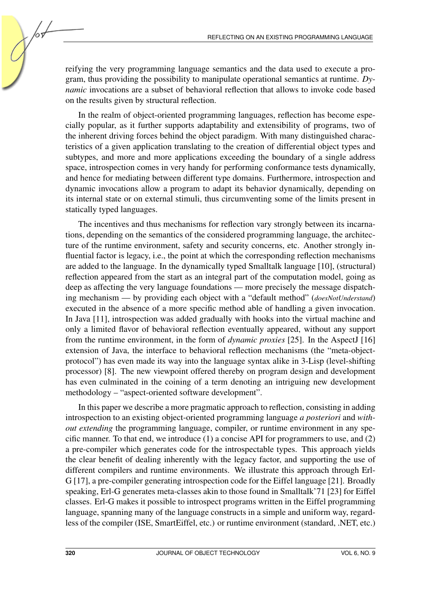reifying the very programming language semantics and the data used to execute a program, thus providing the possibility to manipulate operational semantics at runtime. *Dynamic* invocations are a subset of behavioral reflection that allows to invoke code based on the results given by structural reflection.

In the realm of object-oriented programming languages, reflection has become especially popular, as it further supports adaptability and extensibility of programs, two of the inherent driving forces behind the object paradigm. With many distinguished characteristics of a given application translating to the creation of differential object types and subtypes, and more and more applications exceeding the boundary of a single address space, introspection comes in very handy for performing conformance tests dynamically, and hence for mediating between different type domains. Furthermore, introspection and dynamic invocations allow a program to adapt its behavior dynamically, depending on its internal state or on external stimuli, thus circumventing some of the limits present in statically typed languages.

The incentives and thus mechanisms for reflection vary strongly between its incarnations, depending on the semantics of the considered programming language, the architecture of the runtime environment, safety and security concerns, etc. Another strongly influential factor is legacy, i.e., the point at which the corresponding reflection mechanisms are added to the language. In the dynamically typed Smalltalk language [\[10\]](#page-18-0), (structural) reflection appeared from the start as an integral part of the computation model, going as deep as affecting the very language foundations — more precisely the message dispatching mechanism — by providing each object with a "default method" (*doesNotUnderstand*) executed in the absence of a more specific method able of handling a given invocation. In Java [\[11\]](#page-18-1), introspection was added gradually with hooks into the virtual machine and only a limited flavor of behavioral reflection eventually appeared, without any support from the runtime environment, in the form of *dynamic proxies* [\[25\]](#page-19-1). In the AspectJ [\[16\]](#page-19-2) extension of Java, the interface to behavioral reflection mechanisms (the "meta-objectprotocol") has even made its way into the language syntax alike in 3-Lisp (level-shifting processor) [\[8\]](#page-18-2). The new viewpoint offered thereby on program design and development has even culminated in the coining of a term denoting an intriguing new development methodology – "aspect-oriented software development".

In this paper we describe a more pragmatic approach to reflection, consisting in adding introspection to an existing object-oriented programming language *a posteriori* and *without extending* the programming language, compiler, or runtime environment in any specific manner. To that end, we introduce  $(1)$  a concise API for programmers to use, and  $(2)$ a pre-compiler which generates code for the introspectable types. This approach yields the clear benefit of dealing inherently with the legacy factor, and supporting the use of different compilers and runtime environments. We illustrate this approach through Erl-G [\[17\]](#page-19-3), a pre-compiler generating introspection code for the Eiffel language [\[21\]](#page-19-4). Broadly speaking, Erl-G generates meta-classes akin to those found in Smalltalk'71 [\[23\]](#page-19-5) for Eiffel classes. Erl-G makes it possible to introspect programs written in the Eiffel programming language, spanning many of the language constructs in a simple and uniform way, regardless of the compiler (ISE, SmartEiffel, etc.) or runtime environment (standard, .NET, etc.)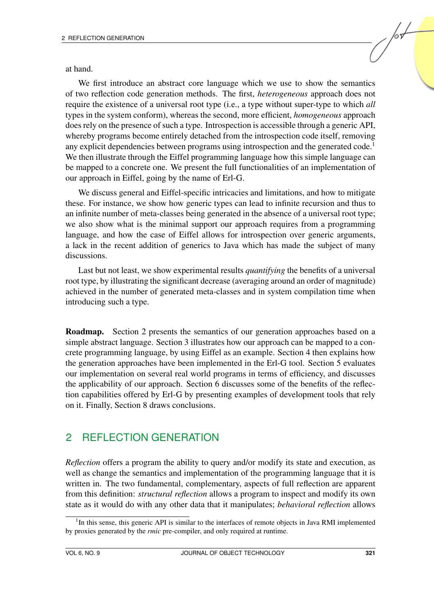at hand.

We first introduce an abstract core language which we use to show the semantics of two reflection code generation methods. The first, *heterogeneous* approach does not require the existence of a universal root type (i.e., a type without super-type to which *all* types in the system conform), whereas the second, more efficient, *homogeneous* approach does rely on the presence of such a type. Introspection is accessible through a generic API, whereby programs become entirely detached from the introspection code itself, removing any explicit dependencies between programs using introspection and the generated code.<sup>[1](#page-2-0)</sup> We then illustrate through the Eiffel programming language how this simple language can be mapped to a concrete one. We present the full functionalities of an implementation of our approach in Eiffel, going by the name of Erl-G.

We discuss general and Eiffel-specific intricacies and limitations, and how to mitigate these. For instance, we show how generic types can lead to infinite recursion and thus to an infinite number of meta-classes being generated in the absence of a universal root type; we also show what is the minimal support our approach requires from a programming language, and how the case of Eiffel allows for introspection over generic arguments, a lack in the recent addition of generics to Java which has made the subject of many discussions.

Last but not least, we show experimental results *quantifying* the benefits of a universal root type, by illustrating the significant decrease (averaging around an order of magnitude) achieved in the number of generated meta-classes and in system compilation time when introducing such a type.

Roadmap. Section [2](#page-2-1) presents the semantics of our generation approaches based on a simple abstract language. Section [3](#page-6-0) illustrates how our approach can be mapped to a concrete programming language, by using Eiffel as an example. Section [4](#page-10-0) then explains how the generation approaches have been implemented in the Erl-G tool. Section [5](#page-12-0) evaluates our implementation on several real world programs in terms of efficiency, and discusses the applicability of our approach. Section [6](#page-14-0) discusses some of the benefits of the reflection capabilities offered by Erl-G by presenting examples of development tools that rely on it. Finally, Section [8](#page-17-0) draws conclusions.

### <span id="page-2-1"></span>2 REFLECTION GENERATION

*Reflection* offers a program the ability to query and/or modify its state and execution, as well as change the semantics and implementation of the programming language that it is written in. The two fundamental, complementary, aspects of full reflection are apparent from this definition: *structural reflection* allows a program to inspect and modify its own state as it would do with any other data that it manipulates; *behavioral reflection* allows

<span id="page-2-0"></span><sup>&</sup>lt;sup>1</sup>In this sense, this generic API is similar to the interfaces of remote objects in Java RMI implemented by proxies generated by the *rmic* pre-compiler, and only required at runtime.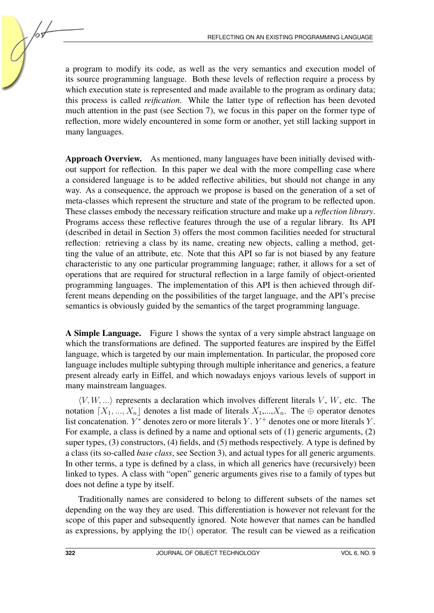a program to modify its code, as well as the very semantics and execution model of its source programming language. Both these levels of reflection require a process by which execution state is represented and made available to the program as ordinary data; this process is called *reification*. While the latter type of reflection has been devoted much attention in the past (see Section [7\)](#page-15-0), we focus in this paper on the former type of reflection, more widely encountered in some form or another, yet still lacking support in many languages.

Approach Overview. As mentioned, many languages have been initially devised without support for reflection. In this paper we deal with the more compelling case where a considered language is to be added reflective abilities, but should not change in any way. As a consequence, the approach we propose is based on the generation of a set of meta-classes which represent the structure and state of the program to be reflected upon. These classes embody the necessary reification structure and make up a *reflection library*. Programs access these reflective features through the use of a regular library. Its API (described in detail in Section [3\)](#page-8-0) offers the most common facilities needed for structural reflection: retrieving a class by its name, creating new objects, calling a method, getting the value of an attribute, etc. Note that this API so far is not biased by any feature characteristic to any one particular programming language; rather, it allows for a set of operations that are required for structural reflection in a large family of object-oriented programming languages. The implementation of this API is then achieved through different means depending on the possibilities of the target language, and the API's precise semantics is obviously guided by the semantics of the target programming language.

A Simple Language. Figure [1](#page-4-0) shows the syntax of a very simple abstract language on which the transformations are defined. The supported features are inspired by the Eiffel language, which is targeted by our main implementation. In particular, the proposed core language includes multiple subtyping through multiple inheritance and generics, a feature present already early in Eiffel, and which nowadays enjoys various levels of support in many mainstream languages.

 $\langle V, W, \ldots \rangle$  represents a declaration which involves different literals V, W, etc. The notation  $[X_1, ..., X_n]$  denotes a list made of literals  $X_1,...,X_n$ . The ⊕ operator denotes list concatenation.  $Y^*$  denotes zero or more literals Y.  $Y^+$  denotes one or more literals Y. For example, a class is defined by a name and optional sets of (1) generic arguments, (2) super types, (3) constructors, (4) fields, and (5) methods respectively. A type is defined by a class (its so-called *base class*, see Section [3\)](#page-7-0), and actual types for all generic arguments. In other terms, a type is defined by a class, in which all generics have (recursively) been linked to types. A class with "open" generic arguments gives rise to a family of types but does not define a type by itself.

Traditionally names are considered to belong to different subsets of the names set depending on the way they are used. This differentiation is however not relevant for the scope of this paper and subsequently ignored. Note however that names can be handled as expressions, by applying the  $ID()$  operator. The result can be viewed as a reification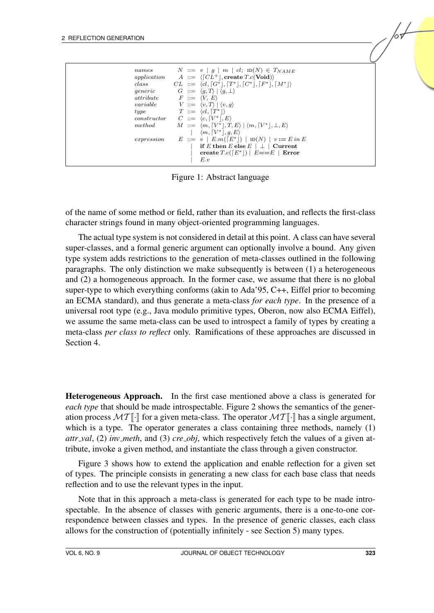<span id="page-4-0"></span>Figure 1: Abstract language

of the name of some method or field, rather than its evaluation, and reflects the first-class character strings found in many object-oriented programming languages.

The actual type system is not considered in detail at this point. A class can have several super-classes, and a formal generic argument can optionally involve a bound. Any given type system adds restrictions to the generation of meta-classes outlined in the following paragraphs. The only distinction we make subsequently is between (1) a heterogeneous and (2) a homogeneous approach. In the former case, we assume that there is no global super-type to which everything conforms (akin to Ada'95, C++, Eiffel prior to becoming an ECMA standard), and thus generate a meta-class *for each type*. In the presence of a universal root type (e.g., Java modulo primitive types, Oberon, now also ECMA Eiffel), we assume the same meta-class can be used to introspect a family of types by creating a meta-class *per class to reflect* only. Ramifications of these approaches are discussed in Section [4.](#page-10-0)

Heterogeneous Approach. In the first case mentioned above a class is generated for *each type* that should be made introspectable. Figure [2](#page-5-0) shows the semantics of the generation process  $\mathcal{MT}[\cdot]$  for a given meta-class. The operator  $\mathcal{MT}[\cdot]$  has a single argument, which is a type. The operator generates a class containing three methods, namely (1) *attr val*, (2) *inv meth*, and (3) *cre obj*, which respectively fetch the values of a given attribute, invoke a given method, and instantiate the class through a given constructor.

Figure [3](#page-5-1) shows how to extend the application and enable reflection for a given set of types. The principle consists in generating a new class for each base class that needs reflection and to use the relevant types in the input.

Note that in this approach a meta-class is generated for each type to be made introspectable. In the absence of classes with generic arguments, there is a one-to-one correspondence between classes and types. In the presence of generic classes, each class allows for the construction of (potentially infinitely - see Section [5\)](#page-13-0) many types.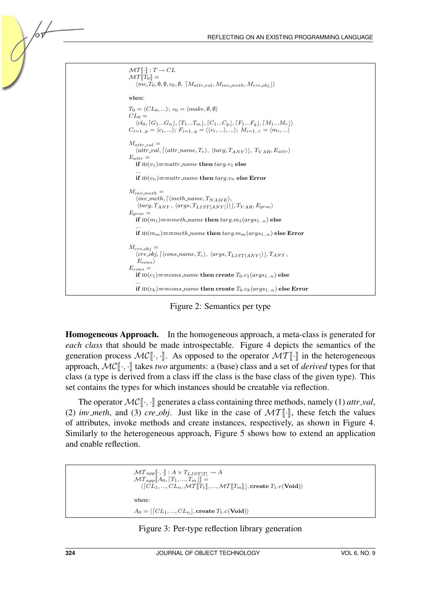

<span id="page-5-0"></span>Figure 2: Semantics per type

Homogeneous Approach. In the homogeneous approach, a meta-class is generated for *each class* that should be made introspectable. Figure [4](#page-6-1) depicts the semantics of the generation process  $MC[[\cdot, \cdot]]$ . As opposed to the operator  $MT[[\cdot]]$  in the heterogeneous approach,  $MC$ [ $\lceil \cdot \rceil$ ] takes *two* arguments: a (base) class and a set of *derived* types for that class (a type is derived from a class iff the class is the base class of the given type). This set contains the types for which instances should be creatable via reflection.

The operator  $MC[[\cdot, \cdot]]$  generates a class containing three methods, namely (1) *attr\_val*, (2) *inv\_meth*, and (3) *cre\_obj*. Just like in the case of  $MT\lbrack\cdot\rbrack$ , these fetch the values of attributes, invoke methods and create instances, respectively, as shown in Figure [4.](#page-6-1) Similarly to the heterogeneous approach, Figure [5](#page-7-1) shows how to extend an application and enable reflection.

```
\mathcal{MT}_{app}[\![\cdot,\cdot]\!] : A \times T_{LIST[T]} \rightarrow A\mathcal{MT}_{app}\llbracket A_0, \llbracket T_1, ..., T_m \rrbracket \rrbracket =\langle [CL_1, ..., CL_n, \mathcal{MT}[T_1], ..., \mathcal{MT}[T_m]], \text{create } T_1.c(\text{void}) \ranglewhere:
A_0 = \langle [CL_1, ..., CL_n], \text{create } T_1.c(\text{Void}) \rangle
```
#### <span id="page-5-1"></span>Figure 3: Per-type reflection library generation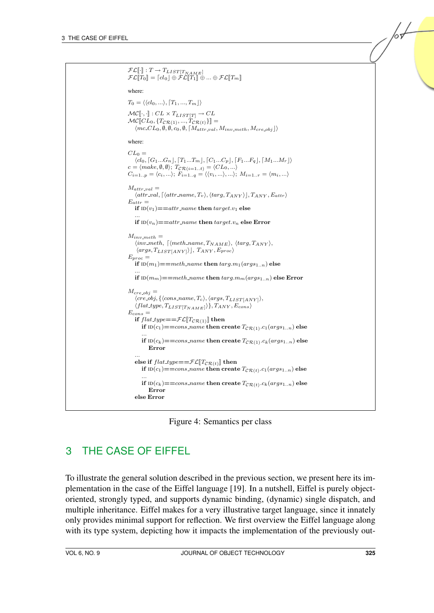| $\mathcal{FL}\llbracket\cdot\rrbracket : T \to T_{LIST[T_{NAME}}]$<br>$\mathcal{FL}[\![T_0]\!] = \lceil cl_0 \rfloor \oplus \mathcal{FL}[\![T_1]\!] \oplus \ldots \oplus \mathcal{FL}[\![T_m]\!]$                                                                                                                |
|------------------------------------------------------------------------------------------------------------------------------------------------------------------------------------------------------------------------------------------------------------------------------------------------------------------|
| where:                                                                                                                                                                                                                                                                                                           |
| $T_0 = \langle \langle cl_0, \ldots \rangle, [T_1, \ldots, T_m] \rangle$                                                                                                                                                                                                                                         |
| $\mathcal{MC}[\lbrack\! \lbrack\cdot,\cdot\rbrack\! \rbrack : CL \times T_{LIST[T]} \rightarrow CL$<br>$\mathcal{MC}[\![CL_0, \{T_{\mathcal{CR}(1)}, , T_{\mathcal{CR}(t)}\}]\!] =$<br>$\langle mc_{\text{C}}CL_0, \emptyset, \emptyset, c_0, \emptyset, [M_{attr\_val}, M_{inv\_meth}, M_{cre\_obj}] \rangle$   |
| where:                                                                                                                                                                                                                                                                                                           |
| $CL_0 =$<br>$\langle cl_0, [G_1G_n], [T_1T_m], [C_1C_p], [F_1F_q], [M_1M_r] \rangle$<br>$c = \langle make, \emptyset, \emptyset \rangle; T_{\mathcal{CR}(i=1t)} = \langle CL_0, \rangle$<br>$C_{i=1p} = \langle c_i, \rangle; F_{i=1q} = \langle \langle v_i, \rangle, \rangle; M_{i=1r} = \langle m_i, \rangle$ |
| $M_{attr\_val} =$<br>$\langle \textit{attr\_val}, [\langle \textit{attr\_name}, T_v \rangle, \langle \textit{targ}, T_{ANY} \rangle], T_{ANY}, E_{attr} \rangle$<br>$E_{attr} =$<br>if $ID(v_1) = = attr_name$ then $target.v_1$ else                                                                            |
| if $ID(v_n) == attr_name$ then $target.v_n$ else Error                                                                                                                                                                                                                                                           |
| $M_{inv.meth} =$<br>$\langle inv\_meth, \lceil \langle meth\_name, T_{NAME} \rangle, \langle targ, T_{ANY} \rangle,$<br>$\langle args, T_{LIST[ANY]} \rangle$ , $T_{ANY}, E_{proc} \rangle$<br>$E_{proc} =$                                                                                                      |
| if $ID(m_1) == meth_name$ then $targ.m_1(args_{1n})$ else                                                                                                                                                                                                                                                        |
| if $ID(m_m) == meth_name$ then $targ.m_m(args_{1n})$ else Error                                                                                                                                                                                                                                                  |
| $M_{cre\_obj} =$<br>$\langle cre\_obj, \{\langle cons\_name, T_c \rangle, \langle args, T_{LIST[ANY]} \rangle,$<br>$\langle flat\_type, T_{LIST[T_{NAME}]}\rangle\}, T_{ANY}, E_{cons}\rangle$<br>$E_{cons} =$<br>if $flat\_type = \mathcal{FL}[T_{\mathcal{CR}(1)}]$ then                                       |
| if $ID(c_1) = const_name$ then create $T_{CR(1)} \cdot c_1(args_{1n})$ else                                                                                                                                                                                                                                      |
| if $ID(c_k) == cons_name$ then create $T_{CR(1)} \nc_k(args_{1n})$ else<br>Error                                                                                                                                                                                                                                 |
| else if $flat_type = = \mathcal{FL}[T_{CR(t)}]$ then<br>if $ID(c_1) == cons_name$ then create $T_{CR(t)} \nc_1(args_{1n})$ else                                                                                                                                                                                  |
| if $ID(c_k) == cons_name$ then create $T_{CR(t)} \nc_k(args_{1n})$ else<br>Error<br>else Error                                                                                                                                                                                                                   |
|                                                                                                                                                                                                                                                                                                                  |

<span id="page-6-1"></span>Figure 4: Semantics per class

# <span id="page-6-0"></span>3 THE CASE OF EIFFEL

To illustrate the general solution described in the previous section, we present here its implementation in the case of the Eiffel language [\[19\]](#page-19-6). In a nutshell, Eiffel is purely objectoriented, strongly typed, and supports dynamic binding, (dynamic) single dispatch, and multiple inheritance. Eiffel makes for a very illustrative target language, since it innately only provides minimal support for reflection. We first overview the Eiffel language along with its type system, depicting how it impacts the implementation of the previously out-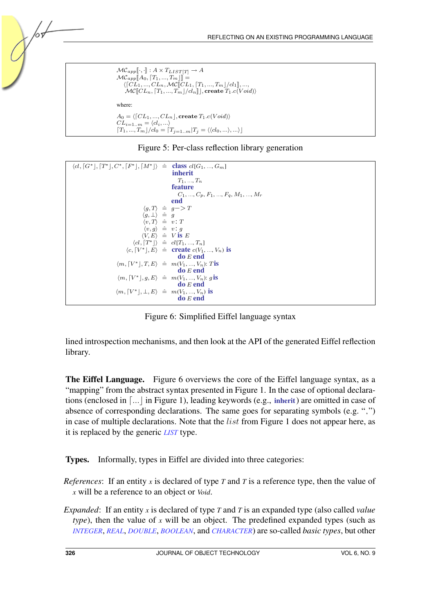```
\mathcal{MC}_{app}[\![\cdot,\cdot]\!] : A \times T_{LIST[T]} \to A\mathcal{MC}_{app}\llbracket A_0, \llbracket T_1, ..., T_m \rrbracket \rrbracket = \frac{1}{\sqrt{\lceil CL - MC \rceil}}\langle [CL_1, ..., CL_n, \mathcal{MC}[[CL_1, [T_1, ..., T_m]/cl_1]], ...,<br>\mathcal{MC}[[CL_1, [T_1, ..., T_m]/cl_1]], resorts T_1, c(V_0)\mathcal{MC}[[CL_n, [T_1, ..., T_m]/cl_n]], create T_1.c(Void)where:
A_0 = \langle [CL_1, ..., CL_n], \text{create } T_1.c(Void) \rangleCL_{i=1..m} = \langle cl_i, ...\rangleT_1, ..., T_m]/cl_0 = T_{j=1..m}T_j = \langle \langle cl_0, ... \rangle, ... \rangle]
```
#### <span id="page-7-1"></span>Figure 5: Per-class reflection library generation



<span id="page-7-2"></span>Figure 6: Simplified Eiffel language syntax

lined introspection mechanisms, and then look at the API of the generated Eiffel reflection library.

The Eiffel Language. Figure [6](#page-7-2) overviews the core of the Eiffel language syntax, as a "mapping" from the abstract syntax presented in Figure [1.](#page-4-0) In the case of optional declarations (enclosed in  $\lceil ... \rceil$  in Figure [1\)](#page-4-0), leading keywords (e.g., inherit) are omitted in case of absence of corresponding declarations. The same goes for separating symbols (e.g. ",") in case of multiple declarations. Note that the *list* from Figure [1](#page-4-0) does not appear here, as it is replaced by the generic *LIST* type.

<span id="page-7-0"></span>Types. Informally, types in Eiffel are divided into three categories:

*References*: If an entity *x* is declared of type *T* and *T* is a reference type, then the value of *x* will be a reference to an object or *Void*.

*Expanded*: If an entity *x* is declared of type *T* and *T* is an expanded type (also called *value type*), then the value of *x* will be an object. The predefined expanded types (such as *INTEGER*, *REAL*, *DOUBLE*, *BOOLEAN*, and *CHARACTER*) are so-called *basic types*, but other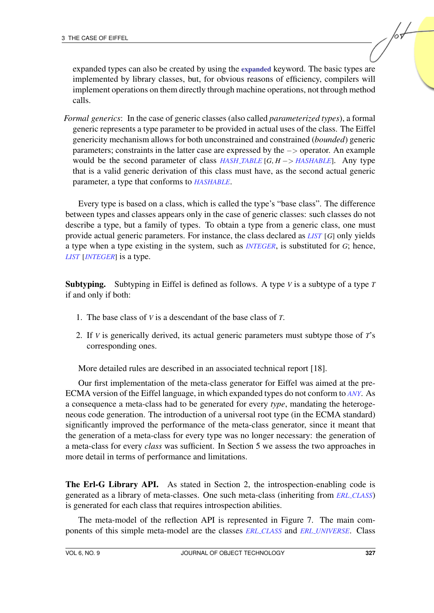expanded types can also be created by using the expanded keyword. The basic types are implemented by library classes, but, for obvious reasons of efficiency, compilers will implement operations on them directly through machine operations, not through method calls.

*Formal generics*: In the case of generic classes (also called *parameterized types*), a formal generic represents a type parameter to be provided in actual uses of the class. The Eiffel genericity mechanism allows for both unconstrained and constrained (*bounded*) generic parameters; constraints in the latter case are expressed by the −> operator. An example would be the second parameter of class *HASH TABLE* [*G*, *H* −> *HASHABLE*]. Any type that is a valid generic derivation of this class must have, as the second actual generic parameter, a type that conforms to *HASHABLE*.

Every type is based on a class, which is called the type's "base class". The difference between types and classes appears only in the case of generic classes: such classes do not describe a type, but a family of types. To obtain a type from a generic class, one must provide actual generic parameters. For instance, the class declared as *LIST* [*G*] only yields a type when a type existing in the system, such as *INTEGER*, is substituted for *G*; hence, *LIST* [*INTEGER*] is a type.

Subtyping. Subtyping in Eiffel is defined as follows. A type *V* is a subtype of a type *T* if and only if both:

- 1. The base class of *V* is a descendant of the base class of *T*.
- 2. If *V* is generically derived, its actual generic parameters must subtype those of *T*'s corresponding ones.

More detailed rules are described in an associated technical report [\[18\]](#page-19-7).

Our first implementation of the meta-class generator for Eiffel was aimed at the pre-ECMA version of the Eiffel language, in which expanded types do not conform to *ANY*. As a consequence a meta-class had to be generated for every *type*, mandating the heterogeneous code generation. The introduction of a universal root type (in the ECMA standard) significantly improved the performance of the meta-class generator, since it meant that the generation of a meta-class for every type was no longer necessary: the generation of a meta-class for every *class* was sufficient. In Section [5](#page-12-0) we assess the two approaches in more detail in terms of performance and limitations.

<span id="page-8-0"></span>The Erl-G Library API. As stated in Section [2,](#page-2-1) the introspection-enabling code is generated as a library of meta-classes. One such meta-class (inheriting from *ERL CLASS*) is generated for each class that requires introspection abilities.

The meta-model of the reflection API is represented in Figure [7.](#page-9-0) The main components of this simple meta-model are the classes *ERL CLASS* and *ERL UNIVERSE*. Class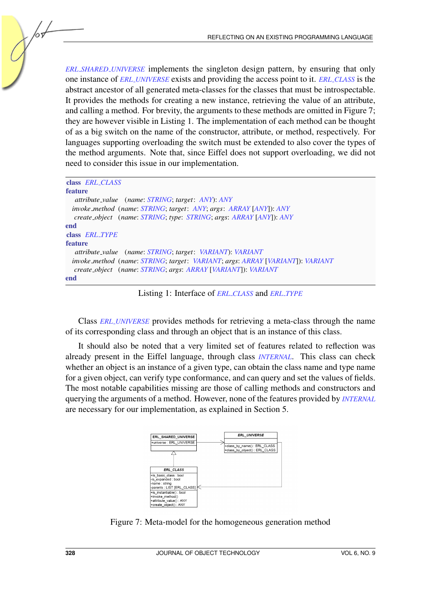*ERL SHARED UNIVERSE* implements the singleton design pattern, by ensuring that only one instance of *ERL UNIVERSE* exists and providing the access point to it. *ERL CLASS* is the abstract ancestor of all generated meta-classes for the classes that must be introspectable. It provides the methods for creating a new instance, retrieving the value of an attribute, and calling a method. For brevity, the arguments to these methods are omitted in Figure [7;](#page-9-0) they are however visible in Listing [1.](#page-9-1) The implementation of each method can be thought of as a big switch on the name of the constructor, attribute, or method, respectively. For languages supporting overloading the switch must be extended to also cover the types of the method arguments. Note that, since Eiffel does not support overloading, we did not need to consider this issue in our implementation.

<span id="page-9-1"></span>

| class <i>ERL_CLASS</i>                                                        |
|-------------------------------------------------------------------------------|
| <b>feature</b>                                                                |
| attribute_value (name: STRING; target: ANY): ANY                              |
| <i>invoke_method</i> (name: STRING; target: ANY; args: ARRAY [ANY]): ANY      |
| create_object (name: STRING, type: STRING, args: ARRAY [ANY]): ANY            |
| end                                                                           |
| class <i>ERL_TYPE</i>                                                         |
| <b>feature</b>                                                                |
| attribute_value (name: STRING; target: VARIANT): VARIANT                      |
| invoke_method (name: STRING; target: VARIANT; args: ARRAY [VARIANT]): VARIANT |
| create_object (name: STRING; args: ARRAY [VARIANT]): VARIANT                  |
| end                                                                           |

Listing 1: Interface of *ERL CLASS* and *ERL TYPE*

Class *ERL UNIVERSE* provides methods for retrieving a meta-class through the name of its corresponding class and through an object that is an instance of this class.

It should also be noted that a very limited set of features related to reflection was already present in the Eiffel language, through class *INTERNAL*. This class can check whether an object is an instance of a given type, can obtain the class name and type name for a given object, can verify type conformance, and can query and set the values of fields. The most notable capabilities missing are those of calling methods and constructors and querying the arguments of a method. However, none of the features provided by *INTERNAL* are necessary for our implementation, as explained in Section [5.](#page-13-0)



<span id="page-9-0"></span>Figure 7: Meta-model for the homogeneous generation method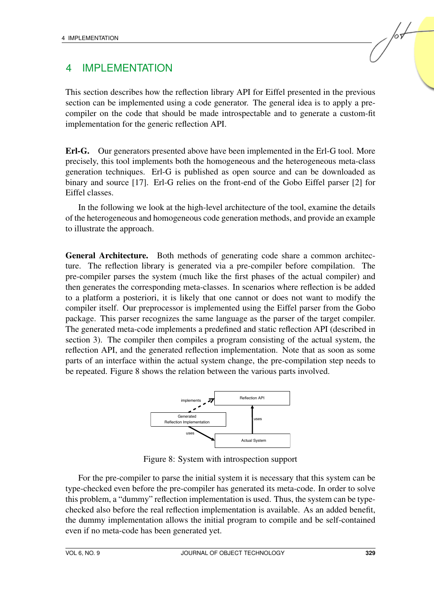## <span id="page-10-0"></span>4 IMPLEMENTATION

This section describes how the reflection library API for Eiffel presented in the previous section can be implemented using a code generator. The general idea is to apply a precompiler on the code that should be made introspectable and to generate a custom-fit implementation for the generic reflection API.

Erl-G. Our generators presented above have been implemented in the Erl-G tool. More precisely, this tool implements both the homogeneous and the heterogeneous meta-class generation techniques. Erl-G is published as open source and can be downloaded as binary and source [\[17\]](#page-19-3). Erl-G relies on the front-end of the Gobo Eiffel parser [\[2\]](#page-18-3) for Eiffel classes.

In the following we look at the high-level architecture of the tool, examine the details of the heterogeneous and homogeneous code generation methods, and provide an example to illustrate the approach.

General Architecture. Both methods of generating code share a common architecture. The reflection library is generated via a pre-compiler before compilation. The pre-compiler parses the system (much like the first phases of the actual compiler) and then generates the corresponding meta-classes. In scenarios where reflection is be added to a platform a posteriori, it is likely that one cannot or does not want to modify the compiler itself. Our preprocessor is implemented using the Eiffel parser from the Gobo package. This parser recognizes the same language as the parser of the target compiler. The generated meta-code implements a predefined and static reflection API (described in section [3\)](#page-8-0). The compiler then compiles a program consisting of the actual system, the reflection API, and the generated reflection implementation. Note that as soon as some parts of an interface within the actual system change, the pre-compilation step needs to be repeated. Figure [8](#page-10-1) shows the relation between the various parts involved.

![](_page_10_Figure_6.jpeg)

<span id="page-10-1"></span>Figure 8: System with introspection support

For the pre-compiler to parse the initial system it is necessary that this system can be type-checked even before the pre-compiler has generated its meta-code. In order to solve this problem, a "dummy" reflection implementation is used. Thus, the system can be typechecked also before the real reflection implementation is available. As an added benefit, the dummy implementation allows the initial program to compile and be self-contained even if no meta-code has been generated yet.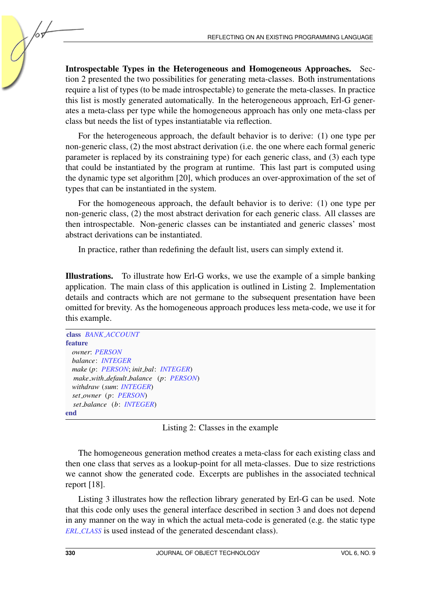<span id="page-11-1"></span>Introspectable Types in the Heterogeneous and Homogeneous Approaches. Section [2](#page-2-1) presented the two possibilities for generating meta-classes. Both instrumentations require a list of types (to be made introspectable) to generate the meta-classes. In practice this list is mostly generated automatically. In the heterogeneous approach, Erl-G generates a meta-class per type while the homogeneous approach has only one meta-class per class but needs the list of types instantiatable via reflection.

For the heterogeneous approach, the default behavior is to derive: (1) one type per non-generic class, (2) the most abstract derivation (i.e. the one where each formal generic parameter is replaced by its constraining type) for each generic class, and (3) each type that could be instantiated by the program at runtime. This last part is computed using the dynamic type set algorithm [\[20\]](#page-19-8), which produces an over-approximation of the set of types that can be instantiated in the system.

For the homogeneous approach, the default behavior is to derive: (1) one type per non-generic class, (2) the most abstract derivation for each generic class. All classes are then introspectable. Non-generic classes can be instantiated and generic classes' most abstract derivations can be instantiated.

In practice, rather than redefining the default list, users can simply extend it.

Illustrations. To illustrate how Erl-G works, we use the example of a simple banking application. The main class of this application is outlined in Listing [2.](#page-11-0) Implementation details and contracts which are not germane to the subsequent presentation have been omitted for brevity. As the homogeneous approach produces less meta-code, we use it for this example.

<span id="page-11-0"></span>

| class BANK ACCOUNT                    |
|---------------------------------------|
| <b>feature</b>                        |
| owner: PERSON                         |
| balance: <b>INTEGER</b>               |
| make (p: PERSON; init_bal: INTEGER)   |
| make_with_default_balance (p: PERSON) |
| withdraw (sum: INTEGER)               |
| set_owner (p: PERSON)                 |
| set_balance (b: INTEGER)              |
| end                                   |

Listing 2: Classes in the example

The homogeneous generation method creates a meta-class for each existing class and then one class that serves as a lookup-point for all meta-classes. Due to size restrictions we cannot show the generated code. Excerpts are publishes in the associated technical report [\[18\]](#page-19-7).

Listing [3](#page-12-1) illustrates how the reflection library generated by Erl-G can be used. Note that this code only uses the general interface described in section [3](#page-8-0) and does not depend in any manner on the way in which the actual meta-code is generated (e.g. the static type *ERL CLASS* is used instead of the generated descendant class).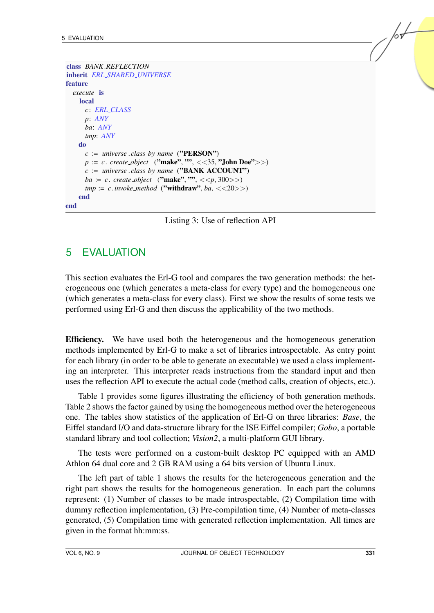```
class BANK REFLECTION
inherit ERL SHARED UNIVERSE
feature
  execute is
    local
      c: ERL CLASS
     p: ANY
     ba: ANY
     tmp: ANY
    do
     c := universe .class_by_name ("PERSON")
     p := c. create_object ("make", "", <<35, "John Doe">>)
      c := universe .class by name ("BANK ACCOUNT")
      ba := c. create_object ("make", "", <<p, 300>>)
      tmp := c.invoke_method ("withdraw", ba, \langle \langle \langle 20 \rangle \rangle)
    end
end
```
Listing 3: Use of reflection API

# <span id="page-12-0"></span>5 EVALUATION

This section evaluates the Erl-G tool and compares the two generation methods: the heterogeneous one (which generates a meta-class for every type) and the homogeneous one (which generates a meta-class for every class). First we show the results of some tests we performed using Erl-G and then discuss the applicability of the two methods.

Efficiency. We have used both the heterogeneous and the homogeneous generation methods implemented by Erl-G to make a set of libraries introspectable. As entry point for each library (in order to be able to generate an executable) we used a class implementing an interpreter. This interpreter reads instructions from the standard input and then uses the reflection API to execute the actual code (method calls, creation of objects, etc.).

Table [1](#page-13-1) provides some figures illustrating the efficiency of both generation methods. Table [2](#page-14-1) shows the factor gained by using the homogeneous method over the heterogeneous one. The tables show statistics of the application of Erl-G on three libraries: *Base*, the Eiffel standard I/O and data-structure library for the ISE Eiffel compiler; *Gobo*, a portable standard library and tool collection; *Vision2*, a multi-platform GUI library.

The tests were performed on a custom-built desktop PC equipped with an AMD Athlon 64 dual core and 2 GB RAM using a 64 bits version of Ubuntu Linux.

The left part of table [1](#page-13-1) shows the results for the heterogeneous generation and the right part shows the results for the homogeneous generation. In each part the columns represent: (1) Number of classes to be made introspectable, (2) Compilation time with dummy reflection implementation, (3) Pre-compilation time, (4) Number of meta-classes generated, (5) Compilation time with generated reflection implementation. All times are given in the format hh:mm:ss.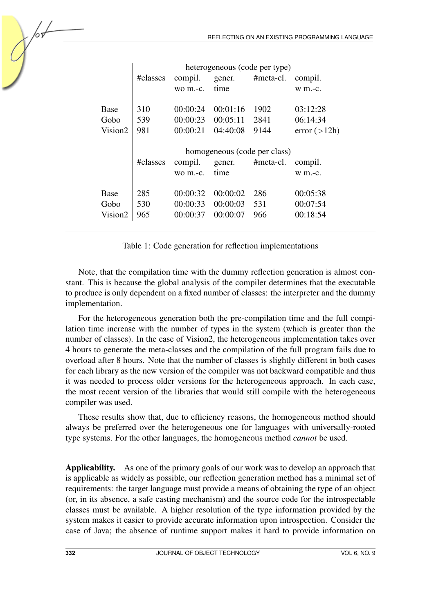|                     | #classes                     | compil.<br>wo m.-c.   | gener.<br>time       | heterogeneous (code per type)<br>#meta-cl. | compil.<br>$w$ m.-c. |  |  |
|---------------------|------------------------------|-----------------------|----------------------|--------------------------------------------|----------------------|--|--|
| Base<br>Gobo        | 310<br>539                   | 00:00:24<br>00:00:23  | 00:01:16<br>00:05:11 | 1902<br>2841                               | 03:12:28<br>06:14:34 |  |  |
| Vision2             | 981                          | 00:00:21              | 04:40:08             | 9144                                       | error (>12h)         |  |  |
|                     | homogeneous (code per class) |                       |                      |                                            |                      |  |  |
|                     | #classes                     | compil.<br>$wo$ m.-c. | gener.<br>time       | #meta-cl.                                  | compil.<br>$w$ m.-c. |  |  |
| <b>Base</b>         | 285                          | 00:00:32              | 00:00:02             | 286                                        | 00:05:38             |  |  |
| Gobo                | 530                          | 00:00:33              | 00:00:03             | 531                                        | 00:07:54             |  |  |
| Vision <sub>2</sub> |                              |                       |                      |                                            |                      |  |  |

<span id="page-13-1"></span>Table 1: Code generation for reflection implementations

Note, that the compilation time with the dummy reflection generation is almost constant. This is because the global analysis of the compiler determines that the executable to produce is only dependent on a fixed number of classes: the interpreter and the dummy implementation.

For the heterogeneous generation both the pre-compilation time and the full compilation time increase with the number of types in the system (which is greater than the number of classes). In the case of Vision2, the heterogeneous implementation takes over 4 hours to generate the meta-classes and the compilation of the full program fails due to overload after 8 hours. Note that the number of classes is slightly different in both cases for each library as the new version of the compiler was not backward compatible and thus it was needed to process older versions for the heterogeneous approach. In each case, the most recent version of the libraries that would still compile with the heterogeneous compiler was used.

These results show that, due to efficiency reasons, the homogeneous method should always be preferred over the heterogeneous one for languages with universally-rooted type systems. For the other languages, the homogeneous method *cannot* be used.

<span id="page-13-0"></span>Applicability. As one of the primary goals of our work was to develop an approach that is applicable as widely as possible, our reflection generation method has a minimal set of requirements: the target language must provide a means of obtaining the type of an object (or, in its absence, a safe casting mechanism) and the source code for the introspectable classes must be available. A higher resolution of the type information provided by the system makes it easier to provide accurate information upon introspection. Consider the case of Java; the absence of runtime support makes it hard to provide information on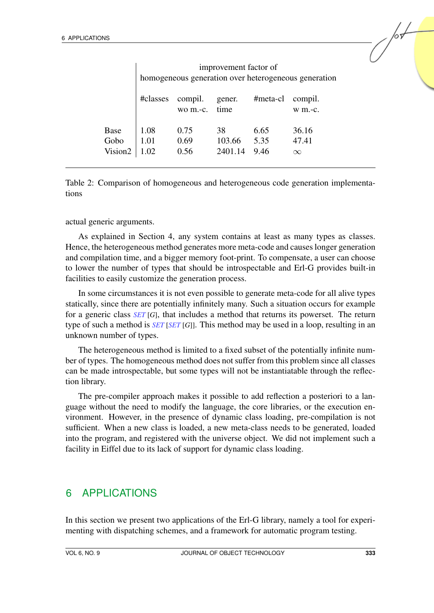|                                     | improvement factor of<br>homogeneous generation over heterogeneous generation |                      |                         |                      |                            |  |  |  |
|-------------------------------------|-------------------------------------------------------------------------------|----------------------|-------------------------|----------------------|----------------------------|--|--|--|
|                                     | #classes                                                                      | compil.<br>wo m.-c.  | gener.<br>time          | #meta-cl             | compil.<br>$W$ m.-c.       |  |  |  |
| Base<br>Gobo<br>Vision <sub>2</sub> | 1.08<br>1.01<br>1.02                                                          | 0.75<br>0.69<br>0.56 | 38<br>103.66<br>2401.14 | 6.65<br>5.35<br>9.46 | 36.16<br>47.41<br>$\infty$ |  |  |  |

<span id="page-14-1"></span>Table 2: Comparison of homogeneous and heterogeneous code generation implementations

actual generic arguments.

As explained in Section [4,](#page-11-1) any system contains at least as many types as classes. Hence, the heterogeneous method generates more meta-code and causes longer generation and compilation time, and a bigger memory foot-print. To compensate, a user can choose to lower the number of types that should be introspectable and Erl-G provides built-in facilities to easily customize the generation process.

In some circumstances it is not even possible to generate meta-code for all alive types statically, since there are potentially infinitely many. Such a situation occurs for example for a generic class *SET* [*G*], that includes a method that returns its powerset. The return type of such a method is *SET* [*SET* [*G*]]. This method may be used in a loop, resulting in an unknown number of types.

The heterogeneous method is limited to a fixed subset of the potentially infinite number of types. The homogeneous method does not suffer from this problem since all classes can be made introspectable, but some types will not be instantiatable through the reflection library.

The pre-compiler approach makes it possible to add reflection a posteriori to a language without the need to modify the language, the core libraries, or the execution environment. However, in the presence of dynamic class loading, pre-compilation is not sufficient. When a new class is loaded, a new meta-class needs to be generated, loaded into the program, and registered with the universe object. We did not implement such a facility in Eiffel due to its lack of support for dynamic class loading.

#### <span id="page-14-0"></span>6 APPLICATIONS

In this section we present two applications of the Erl-G library, namely a tool for experimenting with dispatching schemes, and a framework for automatic program testing.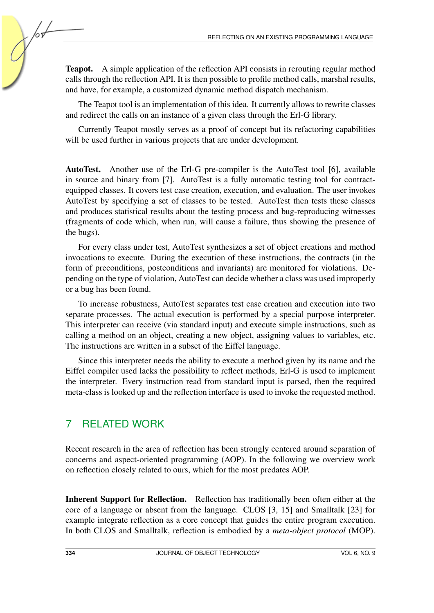Teapot. A simple application of the reflection API consists in rerouting regular method calls through the reflection API. It is then possible to profile method calls, marshal results, and have, for example, a customized dynamic method dispatch mechanism.

The Teapot tool is an implementation of this idea. It currently allows to rewrite classes and redirect the calls on an instance of a given class through the Erl-G library.

Currently Teapot mostly serves as a proof of concept but its refactoring capabilities will be used further in various projects that are under development.

AutoTest. Another use of the Erl-G pre-compiler is the AutoTest tool [\[6\]](#page-18-4), available in source and binary from [\[7\]](#page-18-5). AutoTest is a fully automatic testing tool for contractequipped classes. It covers test case creation, execution, and evaluation. The user invokes AutoTest by specifying a set of classes to be tested. AutoTest then tests these classes and produces statistical results about the testing process and bug-reproducing witnesses (fragments of code which, when run, will cause a failure, thus showing the presence of the bugs).

For every class under test, AutoTest synthesizes a set of object creations and method invocations to execute. During the execution of these instructions, the contracts (in the form of preconditions, postconditions and invariants) are monitored for violations. Depending on the type of violation, AutoTest can decide whether a class was used improperly or a bug has been found.

To increase robustness, AutoTest separates test case creation and execution into two separate processes. The actual execution is performed by a special purpose interpreter. This interpreter can receive (via standard input) and execute simple instructions, such as calling a method on an object, creating a new object, assigning values to variables, etc. The instructions are written in a subset of the Eiffel language.

Since this interpreter needs the ability to execute a method given by its name and the Eiffel compiler used lacks the possibility to reflect methods, Erl-G is used to implement the interpreter. Every instruction read from standard input is parsed, then the required meta-class is looked up and the reflection interface is used to invoke the requested method.

### <span id="page-15-0"></span>7 RELATED WORK

Recent research in the area of reflection has been strongly centered around separation of concerns and aspect-oriented programming (AOP). In the following we overview work on reflection closely related to ours, which for the most predates AOP.

Inherent Support for Reflection. Reflection has traditionally been often either at the core of a language or absent from the language. CLOS [\[3,](#page-18-6) [15\]](#page-19-0) and Smalltalk [\[23\]](#page-19-5) for example integrate reflection as a core concept that guides the entire program execution. In both CLOS and Smalltalk, reflection is embodied by a *meta-object protocol* (MOP).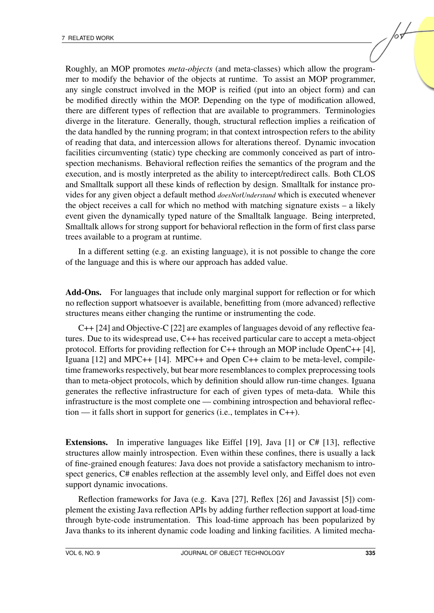Roughly, an MOP promotes *meta-objects* (and meta-classes) which allow the programmer to modify the behavior of the objects at runtime. To assist an MOP programmer, any single construct involved in the MOP is reified (put into an object form) and can be modified directly within the MOP. Depending on the type of modification allowed, there are different types of reflection that are available to programmers. Terminologies diverge in the literature. Generally, though, structural reflection implies a reification of the data handled by the running program; in that context introspection refers to the ability of reading that data, and intercession allows for alterations thereof. Dynamic invocation facilities circumventing (static) type checking are commonly conceived as part of introspection mechanisms. Behavioral reflection reifies the semantics of the program and the execution, and is mostly interpreted as the ability to intercept/redirect calls. Both CLOS and Smalltalk support all these kinds of reflection by design. Smalltalk for instance provides for any given object a default method *doesNotUnderstand* which is executed whenever the object receives a call for which no method with matching signature exists – a likely event given the dynamically typed nature of the Smalltalk language. Being interpreted, Smalltalk allows for strong support for behavioral reflection in the form of first class parse trees available to a program at runtime.

In a different setting (e.g. an existing language), it is not possible to change the core of the language and this is where our approach has added value.

Add-Ons. For languages that include only marginal support for reflection or for which no reflection support whatsoever is available, benefitting from (more advanced) reflective structures means either changing the runtime or instrumenting the code.

C++ [\[24\]](#page-19-9) and Objective-C [\[22\]](#page-19-10) are examples of languages devoid of any reflective features. Due to its widespread use, C++ has received particular care to accept a meta-object protocol. Efforts for providing reflection for C++ through an MOP include OpenC++ [\[4\]](#page-18-7), Iguana [\[12\]](#page-18-8) and MPC++ [\[14\]](#page-19-11). MPC++ and Open C++ claim to be meta-level, compiletime frameworks respectively, but bear more resemblances to complex preprocessing tools than to meta-object protocols, which by definition should allow run-time changes. Iguana generates the reflective infrastructure for each of given types of meta-data. While this infrastructure is the most complete one — combining introspection and behavioral reflection — it falls short in support for generics (i.e., templates in C++).

Extensions. In imperative languages like Eiffel [\[19\]](#page-19-6), Java [\[1\]](#page-18-9) or C# [\[13\]](#page-18-10), reflective structures allow mainly introspection. Even within these confines, there is usually a lack of fine-grained enough features: Java does not provide a satisfactory mechanism to introspect generics, C# enables reflection at the assembly level only, and Eiffel does not even support dynamic invocations.

Reflection frameworks for Java (e.g. Kava [\[27\]](#page-19-12), Reflex [\[26\]](#page-19-13) and Javassist [\[5\]](#page-18-11)) complement the existing Java reflection APIs by adding further reflection support at load-time through byte-code instrumentation. This load-time approach has been popularized by Java thanks to its inherent dynamic code loading and linking facilities. A limited mecha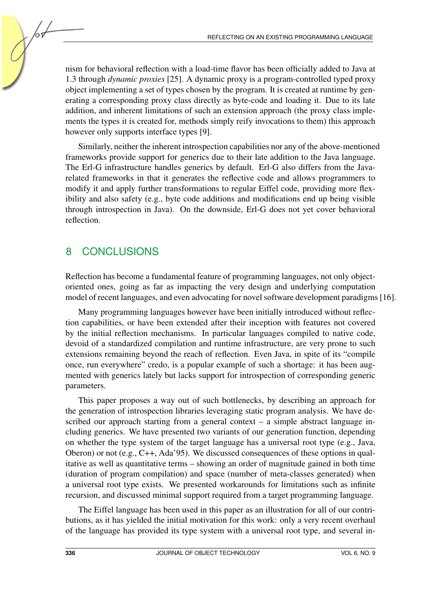nism for behavioral reflection with a load-time flavor has been officially added to Java at 1.3 through *dynamic proxies* [\[25\]](#page-19-1). A dynamic proxy is a program-controlled typed proxy object implementing a set of types chosen by the program. It is created at runtime by generating a corresponding proxy class directly as byte-code and loading it. Due to its late addition, and inherent limitations of such an extension approach (the proxy class implements the types it is created for, methods simply reify invocations to them) this approach however only supports interface types [\[9\]](#page-18-12).

Similarly, neither the inherent introspection capabilities nor any of the above-mentioned frameworks provide support for generics due to their late addition to the Java language. The Erl-G infrastructure handles generics by default. Erl-G also differs from the Javarelated frameworks in that it generates the reflective code and allows programmers to modify it and apply further transformations to regular Eiffel code, providing more flexibility and also safety (e.g., byte code additions and modifications end up being visible through introspection in Java). On the downside, Erl-G does not yet cover behavioral reflection.

### <span id="page-17-0"></span>8 CONCLUSIONS

Reflection has become a fundamental feature of programming languages, not only objectoriented ones, going as far as impacting the very design and underlying computation model of recent languages, and even advocating for novel software development paradigms [\[16\]](#page-19-2).

Many programming languages however have been initially introduced without reflection capabilities, or have been extended after their inception with features not covered by the initial reflection mechanisms. In particular languages compiled to native code, devoid of a standardized compilation and runtime infrastructure, are very prone to such extensions remaining beyond the reach of reflection. Even Java, in spite of its "compile once, run everywhere" credo, is a popular example of such a shortage: it has been augmented with generics lately but lacks support for introspection of corresponding generic parameters.

This paper proposes a way out of such bottlenecks, by describing an approach for the generation of introspection libraries leveraging static program analysis. We have described our approach starting from a general context – a simple abstract language including generics. We have presented two variants of our generation function, depending on whether the type system of the target language has a universal root type (e.g., Java, Oberon) or not (e.g., C++, Ada'95). We discussed consequences of these options in qualitative as well as quantitative terms – showing an order of magnitude gained in both time (duration of program compilation) and space (number of meta-classes generated) when a universal root type exists. We presented workarounds for limitations such as infinite recursion, and discussed minimal support required from a target programming language.

The Eiffel language has been used in this paper as an illustration for all of our contributions, as it has yielded the initial motivation for this work: only a very recent overhaul of the language has provided its type system with a universal root type, and several in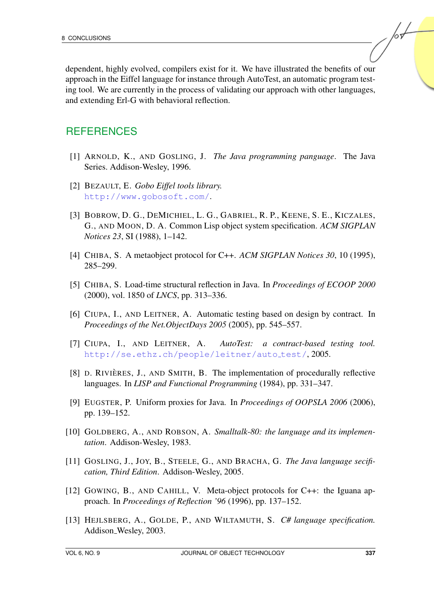dependent, highly evolved, compilers exist for it. We have illustrated the benefits of our approach in the Eiffel language for instance through AutoTest, an automatic program testing tool. We are currently in the process of validating our approach with other languages, and extending Erl-G with behavioral reflection.

#### **REFERENCES**

- <span id="page-18-9"></span>[1] ARNOLD, K., AND GOSLING, J. *The Java programming panguage*. The Java Series. Addison-Wesley, 1996.
- <span id="page-18-3"></span>[2] BEZAULT, E. *Gobo Eiffel tools library.* http://www.gobosoft.com/.
- <span id="page-18-6"></span>[3] BOBROW, D. G., DEMICHIEL, L. G., GABRIEL, R. P., KEENE, S. E., KICZALES, G., AND MOON, D. A. Common Lisp object system specification. *ACM SIGPLAN Notices 23*, SI (1988), 1–142.
- <span id="page-18-7"></span>[4] CHIBA, S. A metaobject protocol for C++. *ACM SIGPLAN Notices 30*, 10 (1995), 285–299.
- <span id="page-18-11"></span>[5] CHIBA, S. Load-time structural reflection in Java. In *Proceedings of ECOOP 2000* (2000), vol. 1850 of *LNCS*, pp. 313–336.
- <span id="page-18-4"></span>[6] CIUPA, I., AND LEITNER, A. Automatic testing based on design by contract. In *Proceedings of the Net.ObjectDays 2005* (2005), pp. 545–557.
- <span id="page-18-5"></span>[7] CIUPA, I., AND LEITNER, A. *AutoTest: a contract-based testing tool.* http://se.ethz.ch/people/leitner/auto\_test/, 2005.
- <span id="page-18-2"></span>[8] D. RIVIÈRES, J., AND SMITH, B. The implementation of procedurally reflective languages. In *LISP and Functional Programming* (1984), pp. 331–347.
- <span id="page-18-12"></span>[9] EUGSTER, P. Uniform proxies for Java. In *Proceedings of OOPSLA 2006* (2006), pp. 139–152.
- <span id="page-18-0"></span>[10] GOLDBERG, A., AND ROBSON, A. *Smalltalk-80: the language and its implementation*. Addison-Wesley, 1983.
- <span id="page-18-1"></span>[11] GOSLING, J., JOY, B., STEELE, G., AND BRACHA, G. *The Java language secification, Third Edition*. Addison-Wesley, 2005.
- <span id="page-18-8"></span>[12] GOWING, B., AND CAHILL, V. Meta-object protocols for C++: the Iguana approach. In *Proceedings of Reflection '96* (1996), pp. 137–152.
- <span id="page-18-10"></span>[13] HEJLSBERG, A., GOLDE, P., AND WILTAMUTH, S. *C# language specification.* Addison Wesley, 2003.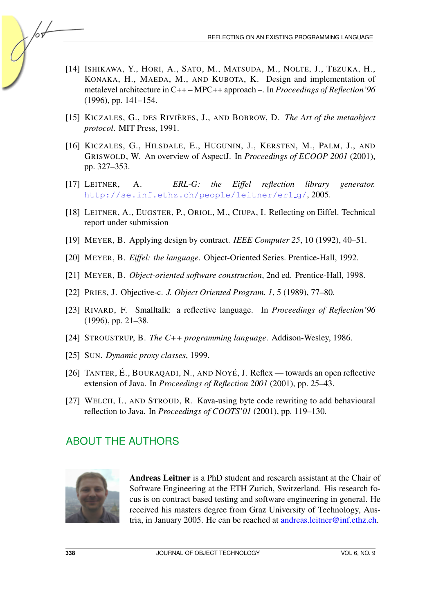- <span id="page-19-11"></span>[14] ISHIKAWA, Y., HORI, A., SATO, M., MATSUDA, M., NOLTE, J., TEZUKA, H., KONAKA, H., MAEDA, M., AND KUBOTA, K. Design and implementation of metalevel architecture in C++ – MPC++ approach –. In *Proceedings of Reflection'96* (1996), pp. 141–154.
- <span id="page-19-0"></span>[15] KICZALES, G., DES RIVIÈRES, J., AND BOBROW, D. *The Art of the metaobject protocol*. MIT Press, 1991.
- <span id="page-19-2"></span>[16] KICZALES, G., HILSDALE, E., HUGUNIN, J., KERSTEN, M., PALM, J., AND GRISWOLD, W. An overview of AspectJ. In *Proceedings of ECOOP 2001* (2001), pp. 327–353.
- <span id="page-19-3"></span>[17] LEITNER, A. *ERL-G: the Eiffel reflection library generator.* http://se.inf.ethz.ch/people/leitner/erlg/, 2005.
- <span id="page-19-7"></span>[18] LEITNER, A., EUGSTER, P., ORIOL, M., CIUPA, I. Reflecting on Eiffel. Technical report under submission
- <span id="page-19-6"></span>[19] MEYER, B. Applying design by contract. *IEEE Computer 25*, 10 (1992), 40–51.
- <span id="page-19-8"></span>[20] MEYER, B. *Eiffel: the language*. Object-Oriented Series. Prentice-Hall, 1992.
- <span id="page-19-4"></span>[21] MEYER, B. *Object-oriented software construction*, 2nd ed. Prentice-Hall, 1998.
- <span id="page-19-10"></span>[22] PRIES, J. Objective-c. *J. Object Oriented Program. 1*, 5 (1989), 77–80.
- <span id="page-19-5"></span>[23] RIVARD, F. Smalltalk: a reflective language. In *Proceedings of Reflection'96* (1996), pp. 21–38.
- <span id="page-19-9"></span>[24] STROUSTRUP, B. *The C++ programming language*. Addison-Wesley, 1986.
- <span id="page-19-1"></span>[25] SUN. *Dynamic proxy classes*, 1999.
- <span id="page-19-13"></span>[26] TANTER, É., BOURAQADI, N., AND NOYÉ, J. Reflex — towards an open reflective extension of Java. In *Proceedings of Reflection 2001* (2001), pp. 25–43.
- <span id="page-19-12"></span>[27] WELCH, I., AND STROUD, R. Kava-using byte code rewriting to add behavioural reflection to Java. In *Proceedings of COOTS'01* (2001), pp. 119–130.

## ABOUT THE AUTHORS

![](_page_19_Picture_16.jpeg)

Andreas Leitner is a PhD student and research assistant at the Chair of Software Engineering at the ETH Zurich, Switzerland. His research focus is on contract based testing and software engineering in general. He received his masters degree from Graz University of Technology, Austria, in January 2005. He can be reached at [andreas.leitner@inf.ethz.ch.](mailto:andreas.leitner@inf.ethz.ch)